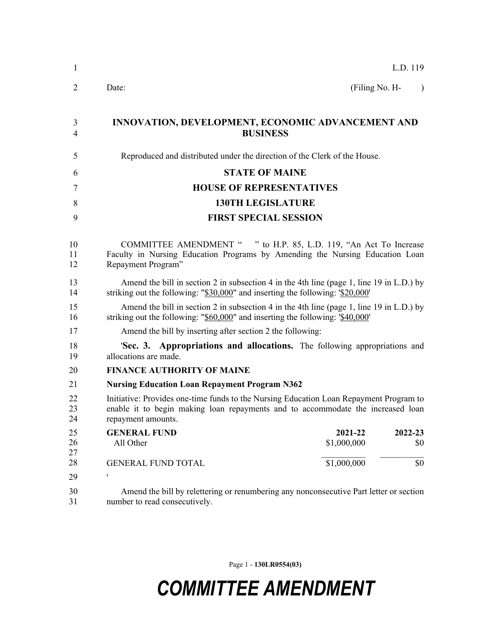| 1                   | L.D. 119                                                                                                                                                                                        |
|---------------------|-------------------------------------------------------------------------------------------------------------------------------------------------------------------------------------------------|
| 2                   | (Filing No. H-<br>Date:<br>$\lambda$                                                                                                                                                            |
| 3<br>$\overline{4}$ | INNOVATION, DEVELOPMENT, ECONOMIC ADVANCEMENT AND<br><b>BUSINESS</b>                                                                                                                            |
| 5                   | Reproduced and distributed under the direction of the Clerk of the House.                                                                                                                       |
| 6                   | <b>STATE OF MAINE</b>                                                                                                                                                                           |
| 7                   | <b>HOUSE OF REPRESENTATIVES</b>                                                                                                                                                                 |
| 8                   | <b>130TH LEGISLATURE</b>                                                                                                                                                                        |
| 9                   | <b>FIRST SPECIAL SESSION</b>                                                                                                                                                                    |
| 10<br>11<br>12      | COMMITTEE AMENDMENT " " to H.P. 85, L.D. 119, "An Act To Increase<br>Faculty in Nursing Education Programs by Amending the Nursing Education Loan<br>Repayment Program"                         |
| 13<br>14            | Amend the bill in section 2 in subsection 4 in the 4th line (page 1, line 19 in L.D.) by<br>striking out the following: " $$30,000$ " and inserting the following: ' $$20,000$ '                |
| 15<br>16            | Amend the bill in section 2 in subsection 4 in the 4th line (page 1, line 19 in L.D.) by<br>striking out the following: "\$60,000" and inserting the following: '\$40,000'                      |
| 17                  | Amend the bill by inserting after section 2 the following:                                                                                                                                      |
| 18<br>19            | <b>Sec. 3. Appropriations and allocations.</b> The following appropriations and<br>allocations are made.                                                                                        |
| 20                  | <b>FINANCE AUTHORITY OF MAINE</b>                                                                                                                                                               |
| 21                  | <b>Nursing Education Loan Repayment Program N362</b>                                                                                                                                            |
| 22<br>23<br>24      | Initiative: Provides one-time funds to the Nursing Education Loan Repayment Program to<br>enable it to begin making loan repayments and to accommodate the increased loan<br>repayment amounts. |
| 25<br>26<br>27      | <b>GENERAL FUND</b><br>2021-22<br>2022-23<br>\$1,000,000<br>All Other<br>\$0                                                                                                                    |
| 28                  | \$1,000,000<br>\$0<br><b>GENERAL FUND TOTAL</b>                                                                                                                                                 |
| 29                  | ۱                                                                                                                                                                                               |
| 30<br>31            | Amend the bill by relettering or renumbering any nonconsecutive Part letter or section<br>number to read consecutively.                                                                         |

Page 1 - **130LR0554(03)**

## *COMMITTEE AMENDMENT*